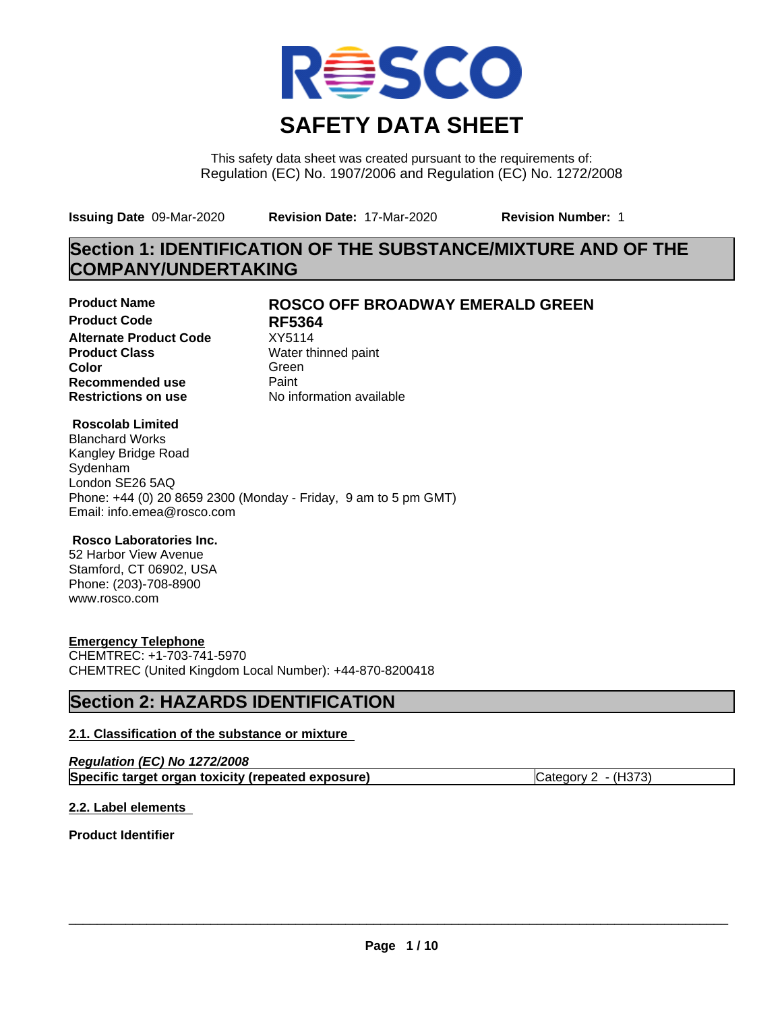

This safety data sheet was created pursuant to the requirements of: Regulation (EC) No. 1907/2006 and Regulation (EC) No. 1272/2008

**Issuing Date** 09-Mar-2020 **Revision Date:** 17-Mar-2020 **Revision Number:** 1

## **Section 1: IDENTIFICATION OF THE SUBSTANCE/MIXTURE AND OF THE COMPANY/UNDERTAKING**

**Product Code 61 RF5364**<br>**Alternate Product Code** XY5114 **Alternate Product Code**<br>Product Class **Product Class** Water thinned paint<br> **Color** Green **Color** Green **Green** Green **Green Recommended use** Paint<br> **Restrictions on use** Mo information available **Restrictions on use** 

## **Product Name ROSCO OFF BROADWAY EMERALD GREEN**

### **Roscolab Limited**

Blanchard Works Kangley Bridge Road Sydenham London SE26 5AQ Phone: +44 (0) 20 8659 2300 (Monday - Friday, 9 am to 5 pm GMT) Email: info.emea@rosco.com

### **Rosco Laboratories Inc.**

52 Harbor View Avenue Stamford, CT 06902, USA Phone: (203)-708-8900 www.rosco.com

### **Emergency Telephone**

CHEMTREC: +1-703-741-5970 CHEMTREC (United Kingdom Local Number): +44-870-8200418

## **Section 2: HAZARDS IDENTIFICATION**

### **2.1. Classification of the substance or mixture**

| Regulation (EC) No 1272/2008                       |                     |
|----------------------------------------------------|---------------------|
| Specific target organ toxicity (repeated exposure) | Category 2 - (H373) |

### **2.2. Label elements**

**Product Identifier**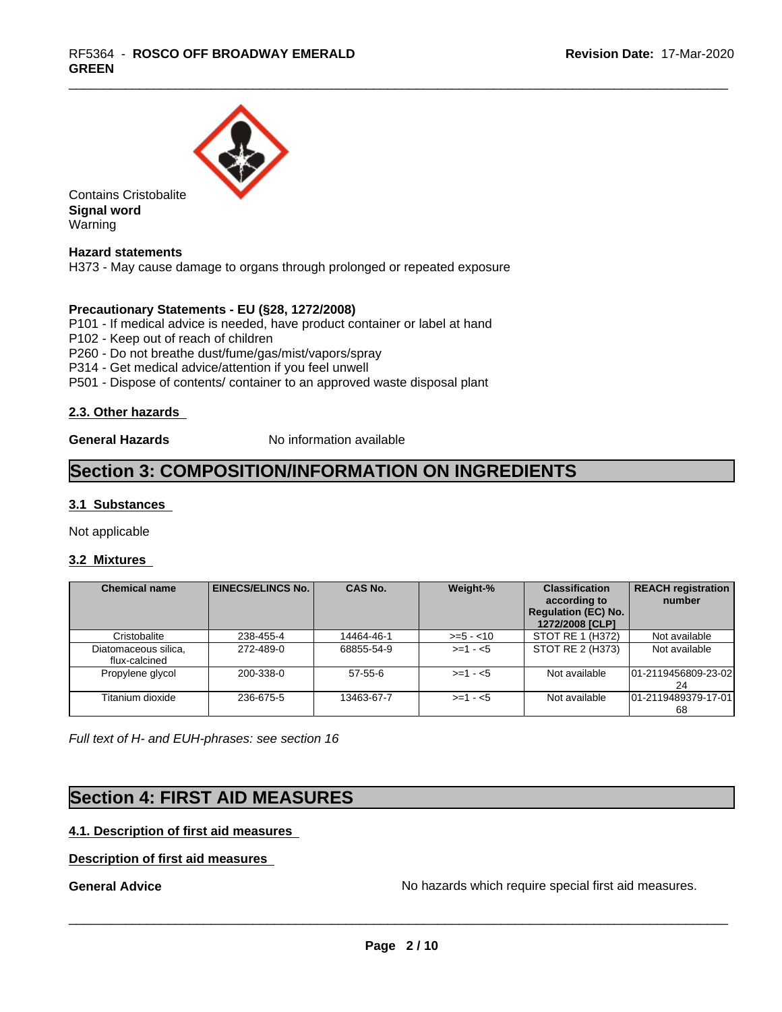

Contains Cristobalite **Signal word** Warning

**Hazard statements**

H373 - May cause damage to organs through prolonged or repeated exposure

#### **Precautionary Statements - EU (§28, 1272/2008)**

P101 - If medical advice is needed, have product container or label at hand

P102 - Keep out of reach of children

P260 - Do not breathe dust/fume/gas/mist/vapors/spray

P314 - Get medical advice/attention if you feel unwell

P501 - Dispose of contents/ container to an approved waste disposal plant

#### **2.3. Other hazards**

**General Hazards** No information available

## **Section 3: COMPOSITION/INFORMATION ON INGREDIENTS**

### **3.1 Substances**

Not applicable

#### **3.2 Mixtures**

| <b>Chemical name</b>                  | <b>EINECS/ELINCS No.1</b> | <b>CAS No.</b> | Weight-%    | <b>Classification</b><br>according to<br><b>Regulation (EC) No.</b><br>1272/2008 [CLP] | <b>REACH registration</b><br>number |
|---------------------------------------|---------------------------|----------------|-------------|----------------------------------------------------------------------------------------|-------------------------------------|
| Cristobalite                          | 238-455-4                 | 14464-46-1     | $>= 5 - 10$ | STOT RE 1 (H372)                                                                       | Not available                       |
| Diatomaceous silica,<br>flux-calcined | 272-489-0                 | 68855-54-9     | $>= 1 - 5$  | STOT RE 2 (H373)                                                                       | Not available                       |
| Propylene glycol                      | 200-338-0                 | $57 - 55 - 6$  | $>= 1 - 5$  | Not available                                                                          | 01-2119456809-23-02<br>24           |
| Titanium dioxide                      | 236-675-5                 | 13463-67-7     | $>= 1 - 5$  | Not available                                                                          | 01-2119489379-17-01<br>68           |

*Full text of H- and EUH-phrases: see section 16*

## **Section 4: FIRST AID MEASURES**

## **4.1. Description of first aid measures**

#### **Description of first aid measures**

**General Advice** No hazards which require special first aid measures.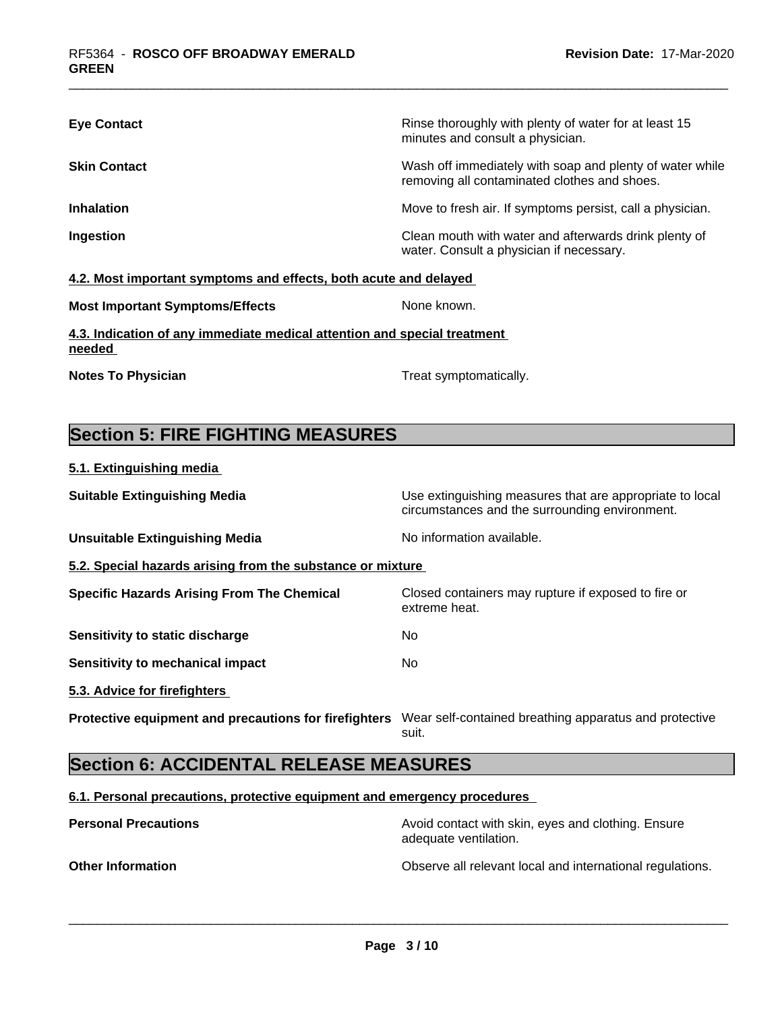| <b>Eye Contact</b>                                               | Rinse thoroughly with plenty of water for at least 15<br>minutes and consult a physician.                |
|------------------------------------------------------------------|----------------------------------------------------------------------------------------------------------|
| <b>Skin Contact</b>                                              | Wash off immediately with soap and plenty of water while<br>removing all contaminated clothes and shoes. |
| <b>Inhalation</b>                                                | Move to fresh air. If symptoms persist, call a physician.                                                |
| Ingestion                                                        | Clean mouth with water and afterwards drink plenty of<br>water. Consult a physician if necessary.        |
| 4.2. Most important symptoms and effects, both acute and delayed |                                                                                                          |
| <b>Most Important Symptoms/Effects</b>                           | None known.                                                                                              |

## **4.3. Indication of any immediate medical attention and special treatment needed**

**Notes To Physician Treat symptomatically.** 

## **Section 5: FIRE FIGHTING MEASURES**

|--|

| <b>Suitable Extinguishing Media</b>                        | Use extinguishing measures that are appropriate to local<br>circumstances and the surrounding environment. |  |  |  |  |
|------------------------------------------------------------|------------------------------------------------------------------------------------------------------------|--|--|--|--|
| <b>Unsuitable Extinguishing Media</b>                      | No information available.                                                                                  |  |  |  |  |
| 5.2. Special hazards arising from the substance or mixture |                                                                                                            |  |  |  |  |
| <b>Specific Hazards Arising From The Chemical</b>          | Closed containers may rupture if exposed to fire or<br>extreme heat.                                       |  |  |  |  |
| Sensitivity to static discharge                            | No                                                                                                         |  |  |  |  |
| Sensitivity to mechanical impact                           | No.                                                                                                        |  |  |  |  |
| 5.3. Advice for firefighters                               |                                                                                                            |  |  |  |  |
| Protective equipment and precautions for firefighters      | Wear self-contained breathing apparatus and protective<br>suit.                                            |  |  |  |  |

## **Section 6: ACCIDENTAL RELEASE MEASURES**

#### **6.1. Personal precautions, protective equipment and emergency procedures**

**Personal Precautions Avoid contact with skin, eyes and clothing. Ensure** Avoid contact with skin, eyes and clothing. Ensure adequate ventilation.

**Other Information Observe all relevant local and international regulations.**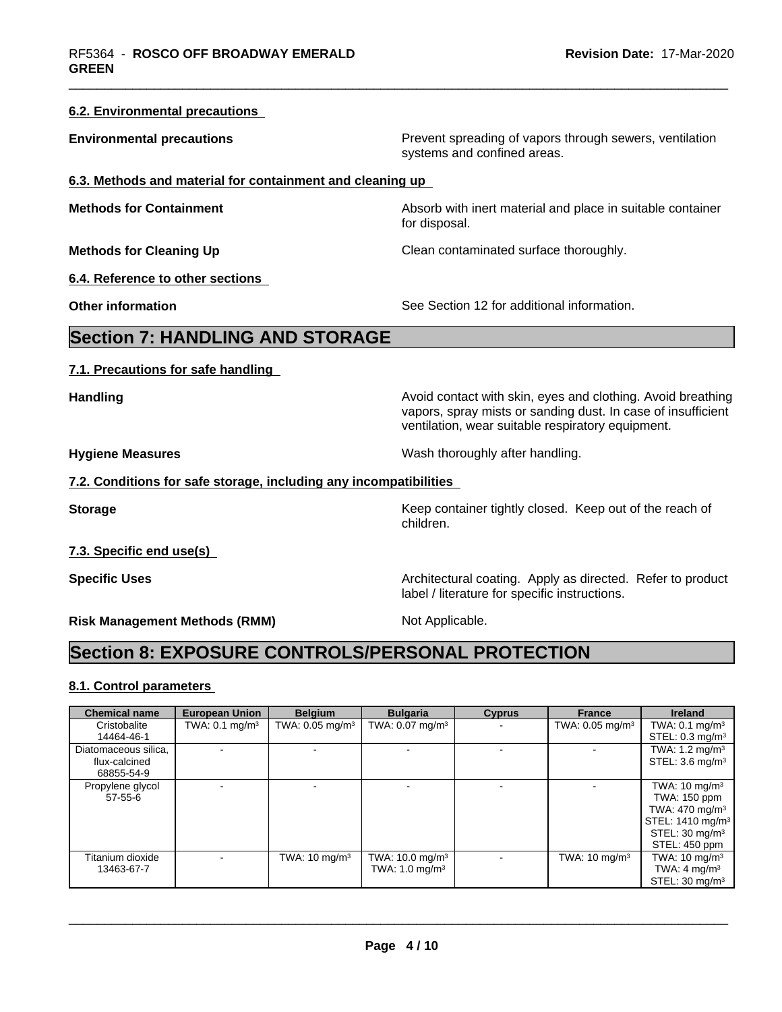| 6.2. Environmental precautions                                    |                                                                                                                                                                                  |
|-------------------------------------------------------------------|----------------------------------------------------------------------------------------------------------------------------------------------------------------------------------|
| <b>Environmental precautions</b>                                  | Prevent spreading of vapors through sewers, ventilation<br>systems and confined areas.                                                                                           |
| 6.3. Methods and material for containment and cleaning up         |                                                                                                                                                                                  |
| <b>Methods for Containment</b>                                    | Absorb with inert material and place in suitable container<br>for disposal.                                                                                                      |
| <b>Methods for Cleaning Up</b>                                    | Clean contaminated surface thoroughly.                                                                                                                                           |
| 6.4. Reference to other sections                                  |                                                                                                                                                                                  |
| <b>Other information</b>                                          | See Section 12 for additional information.                                                                                                                                       |
| <b>Section 7: HANDLING AND STORAGE</b>                            |                                                                                                                                                                                  |
| 7.1. Precautions for safe handling                                |                                                                                                                                                                                  |
| <b>Handling</b>                                                   | Avoid contact with skin, eyes and clothing. Avoid breathing<br>vapors, spray mists or sanding dust. In case of insufficient<br>ventilation, wear suitable respiratory equipment. |
| <b>Hygiene Measures</b>                                           | Wash thoroughly after handling.                                                                                                                                                  |
| 7.2. Conditions for safe storage, including any incompatibilities |                                                                                                                                                                                  |
| <b>Storage</b>                                                    | Keep container tightly closed. Keep out of the reach of<br>children.                                                                                                             |
| 7.3. Specific end use(s)                                          |                                                                                                                                                                                  |
| <b>Specific Uses</b>                                              | Architectural coating. Apply as directed. Refer to product<br>label / literature for specific instructions.                                                                      |
| <b>Risk Management Methods (RMM)</b>                              | Not Applicable.                                                                                                                                                                  |
| <b>Section 8: EXPOSURE CONTROLS/PERSONAL PROTECTION</b>           |                                                                                                                                                                                  |
|                                                                   |                                                                                                                                                                                  |

## **8.1. Control parameters**

| <b>Chemical name</b>              | <b>European Union</b>     | <b>Belgium</b>              | <b>Bulgaria</b>                                            | <b>Cyprus</b> | <b>France</b>                 | <b>Ireland</b>                                                                                                                                       |
|-----------------------------------|---------------------------|-----------------------------|------------------------------------------------------------|---------------|-------------------------------|------------------------------------------------------------------------------------------------------------------------------------------------------|
| Cristobalite                      | TWA: $0.1 \text{ mg/m}^3$ | TWA: 0.05 mg/m <sup>3</sup> | TWA: $0.07$ mg/m <sup>3</sup>                              |               | TWA: $0.05$ mg/m <sup>3</sup> | TWA: $0.1 \text{ mg/m}^3$                                                                                                                            |
| 14464-46-1                        |                           |                             |                                                            |               |                               | STEL: $0.3 \text{ mg/m}^3$                                                                                                                           |
| Diatomaceous silica,              |                           |                             |                                                            |               |                               | TWA: 1.2 mg/m <sup>3</sup>                                                                                                                           |
| flux-calcined                     |                           |                             |                                                            |               |                               | STEL: $3.6 \text{ mg/m}^3$                                                                                                                           |
| 68855-54-9                        |                           |                             |                                                            |               |                               |                                                                                                                                                      |
| Propylene glycol<br>$57 - 55 - 6$ |                           |                             |                                                            |               |                               | TWA: $10 \text{ mg/m}^3$<br>TWA: 150 ppm<br>TWA: 470 mg/m <sup>3</sup><br>STEL: 1410 mg/m <sup>3</sup><br>STEL: $30 \text{ mg/m}^3$<br>STEL: 450 ppm |
| Titanium dioxide<br>13463-67-7    |                           | TWA: $10 \text{ mg/m}^3$    | TWA: $10.0$ mg/m <sup>3</sup><br>TWA: $1.0 \text{ mg/m}^3$ |               | TWA: $10 \text{ mg/m}^3$      | TWA: $10 \text{ mg/m}^3$<br>TWA: 4 mg/m <sup>3</sup><br>STEL: $30 \text{ mg/m}^3$                                                                    |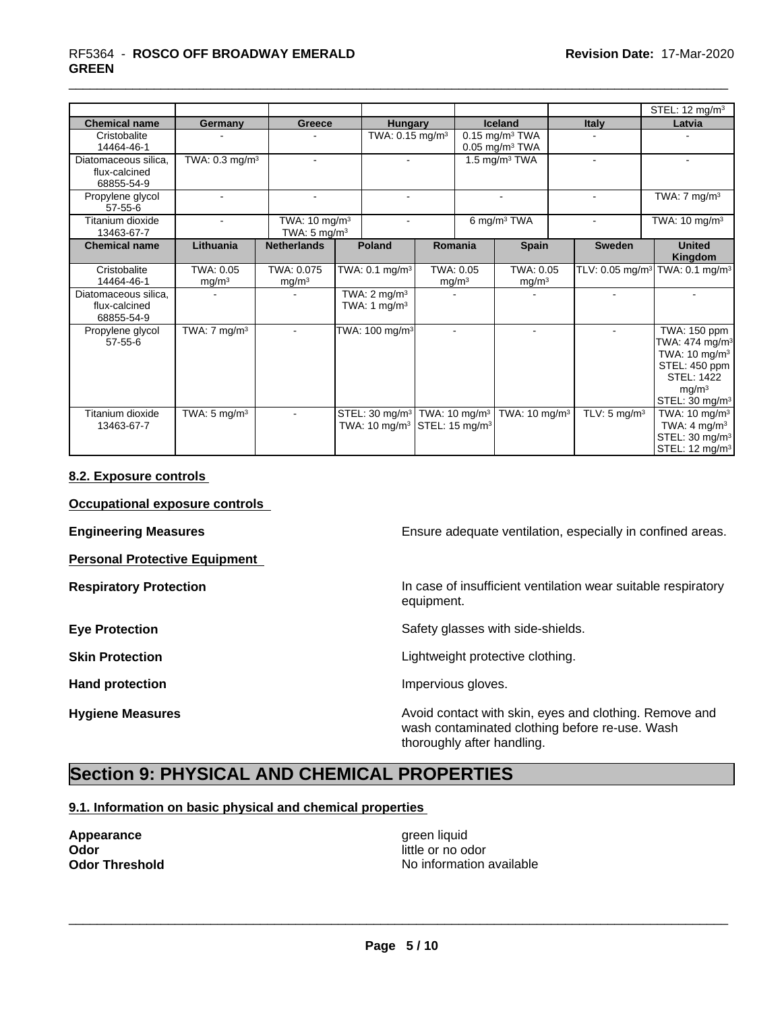# \_\_\_\_\_\_\_\_\_\_\_\_\_\_\_\_\_\_\_\_\_\_\_\_\_\_\_\_\_\_\_\_\_\_\_\_\_\_\_\_\_\_\_\_\_\_\_\_\_\_\_\_\_\_\_\_\_\_\_\_\_\_\_\_\_\_\_\_\_\_\_\_\_\_\_\_\_\_\_\_\_\_\_\_\_\_\_\_\_\_\_\_\_ RF5364 - **ROSCO OFF BROADWAY EMERALD GREEN**

|                                                     |                                |                                                      |  |                                                                                                              |                                |  |                                                              |  |                         | STEL: 12 mg/m <sup>3</sup>                                                                                                                                       |  |                           |  |        |
|-----------------------------------------------------|--------------------------------|------------------------------------------------------|--|--------------------------------------------------------------------------------------------------------------|--------------------------------|--|--------------------------------------------------------------|--|-------------------------|------------------------------------------------------------------------------------------------------------------------------------------------------------------|--|---------------------------|--|--------|
| <b>Chemical name</b>                                | Germany                        | Greece                                               |  | Hungary                                                                                                      |                                |  | <b>Iceland</b>                                               |  | <b>Italy</b>            | Latvia                                                                                                                                                           |  |                           |  |        |
| Cristobalite<br>14464-46-1                          |                                |                                                      |  | TWA: $0.15$ mg/m <sup>3</sup>                                                                                |                                |  | $0.15$ mg/m <sup>3</sup> TWA<br>$0.05$ mg/m <sup>3</sup> TWA |  |                         |                                                                                                                                                                  |  |                           |  |        |
| Diatomaceous silica.<br>flux-calcined<br>68855-54-9 | TWA: $0.3$ mg/m <sup>3</sup>   | $\blacksquare$                                       |  | $\blacksquare$                                                                                               |                                |  |                                                              |  |                         |                                                                                                                                                                  |  | 1.5 mg/m <sup>3</sup> TWA |  | $\sim$ |
| Propylene glycol<br>$57 - 55 - 6$                   |                                | ÷.                                                   |  |                                                                                                              |                                |  | $\sim$                                                       |  |                         | TWA: $7 \text{ mg/m}^3$                                                                                                                                          |  |                           |  |        |
| Titanium dioxide<br>13463-67-7                      | ٠                              | TWA: 10 mg/m <sup>3</sup><br>TWA: $5 \text{ mg/m}^3$ |  |                                                                                                              |                                |  | 6 mg/m <sup>3</sup> TWA                                      |  |                         | TWA: 10 mg/m <sup>3</sup>                                                                                                                                        |  |                           |  |        |
| <b>Chemical name</b>                                | Lithuania                      | <b>Netherlands</b>                                   |  | Poland                                                                                                       | Romania                        |  | <b>Spain</b>                                                 |  | <b>Sweden</b>           | <b>United</b><br>Kingdom                                                                                                                                         |  |                           |  |        |
| Cristobalite<br>14464-46-1                          | TWA: 0.05<br>mg/m <sup>3</sup> | TWA: 0.075<br>mg/m <sup>3</sup>                      |  | TWA: 0.1 mg/m <sup>3</sup>                                                                                   | TWA: 0.05<br>mg/m <sup>3</sup> |  | TWA: 0.05<br>mg/m <sup>3</sup>                               |  |                         | TLV: 0.05 mg/m <sup>3</sup> TWA: 0.1 mg/m <sup>3</sup>                                                                                                           |  |                           |  |        |
| Diatomaceous silica,<br>flux-calcined<br>68855-54-9 |                                |                                                      |  | TWA: $2 \text{ mg/m}^3$<br>TWA: 1 $mg/m3$                                                                    |                                |  |                                                              |  |                         |                                                                                                                                                                  |  |                           |  |        |
| Propylene glycol<br>$57 - 55 - 6$                   | TWA: $7 \text{ mg/m}^3$        | $\overline{\phantom{a}}$                             |  | TWA: 100 mg/m <sup>3</sup>                                                                                   | $\sim$                         |  | $\sim$                                                       |  | $\sim$                  | TWA: 150 ppm<br>TWA: 474 mg/m <sup>3</sup><br>TWA: 10 mg/m <sup>3</sup><br>STEL: 450 ppm<br><b>STEL: 1422</b><br>mg/m <sup>3</sup><br>STEL: 30 mg/m <sup>3</sup> |  |                           |  |        |
| Titanium dioxide<br>13463-67-7                      | TWA: $5 \text{ mg/m}^3$        |                                                      |  | STEL: 30 mg/m <sup>3</sup> TWA: 10 mg/m <sup>3</sup><br>TWA: 10 mg/m <sup>3</sup> STEL: 15 mg/m <sup>3</sup> |                                |  | TWA: $10 \text{ mg/m}^3$                                     |  | TLV: $5 \text{ mg/m}^3$ | TWA: $10 \text{ mg/m}^3$<br>TWA: $4 \text{ mg/m}^3$<br>STEL: 30 mg/m <sup>3</sup><br>STEL: 12 mg/m <sup>3</sup>                                                  |  |                           |  |        |

### **8.2. Exposure controls**

#### **Occupational exposure controls**

**Personal Protective Equipment**

**Engineering Measures Ensure adequate ventilation, especially in confined areas.** 

**Respiratory Protection In case of insufficient ventilation wear suitable respiratory** equipment.

**Eye Protection Exercise Safety glasses with side-shields.** 

**Skin Protection Skin Protection Lightweight protective clothing.** 

Hand protection **Impervious** gloves.

**Hygiene Measures Avoid contact with skin, eyes and clothing. Remove and Hygiene Measures Avoid contact with skin, eyes and clothing. Remove and** wash contaminated clothing before re-use. Wash thoroughly after handling.

## **Section 9: PHYSICAL AND CHEMICAL PROPERTIES**

### **9.1. Information on basic physical and chemical properties**

**Appearance** green liquid **Odor Odor** little or no odor<br> **Odor Threshold Codor Codor Codor Codor Codor Codor Codor Codor Codor Codor Codor Codor Codor Codor Codor Codor Codor Codor Codor Codor Codor Cod** 

**No information available**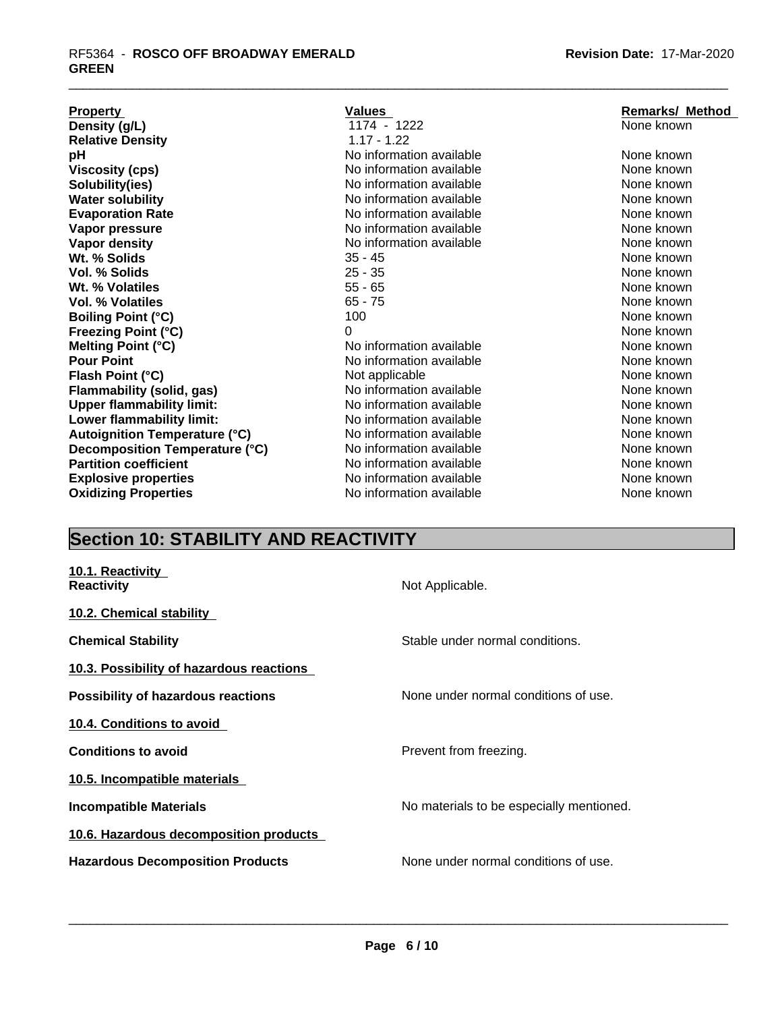### \_\_\_\_\_\_\_\_\_\_\_\_\_\_\_\_\_\_\_\_\_\_\_\_\_\_\_\_\_\_\_\_\_\_\_\_\_\_\_\_\_\_\_\_\_\_\_\_\_\_\_\_\_\_\_\_\_\_\_\_\_\_\_\_\_\_\_\_\_\_\_\_\_\_\_\_\_\_\_\_\_\_\_\_\_\_\_\_\_\_\_\_\_ RF5364 - **ROSCO OFF BROADWAY EMERALD GREEN**

| <b>Property</b>                      | Values                   | <b>Remarks/ Method</b> |
|--------------------------------------|--------------------------|------------------------|
| Density (g/L)                        | 1174 - 1222              | None known             |
| <b>Relative Density</b>              | $1.17 - 1.22$            |                        |
| рH                                   | No information available | None known             |
| <b>Viscosity (cps)</b>               | No information available | None known             |
| Solubility(ies)                      | No information available | None known             |
| <b>Water solubility</b>              | No information available | None known             |
| <b>Evaporation Rate</b>              | No information available | None known             |
| Vapor pressure                       | No information available | None known             |
| Vapor density                        | No information available | None known             |
| Wt. % Solids                         | $35 - 45$                | None known             |
| Vol. % Solids                        | $25 - 35$                | None known             |
| Wt. % Volatiles                      | $55 - 65$                | None known             |
| <b>Vol. % Volatiles</b>              | $65 - 75$                | None known             |
| <b>Boiling Point (°C)</b>            | 100                      | None known             |
| <b>Freezing Point (°C)</b>           | 0                        | None known             |
| Melting Point (°C)                   | No information available | None known             |
| <b>Pour Point</b>                    | No information available | None known             |
| Flash Point (°C)                     | Not applicable           | None known             |
| <b>Flammability (solid, gas)</b>     | No information available | None known             |
| <b>Upper flammability limit:</b>     | No information available | None known             |
| Lower flammability limit:            | No information available | None known             |
| <b>Autoignition Temperature (°C)</b> | No information available | None known             |
| Decomposition Temperature (°C)       | No information available | None known             |
| <b>Partition coefficient</b>         | No information available | None known             |
| <b>Explosive properties</b>          | No information available | None known             |
| <b>Oxidizing Properties</b>          | No information available | None known             |

# **Section 10: STABILITY AND REACTIVITY**

| 10.1. Reactivity<br><b>Reactivity</b>    | Not Applicable.                          |
|------------------------------------------|------------------------------------------|
| 10.2. Chemical stability                 |                                          |
| <b>Chemical Stability</b>                | Stable under normal conditions.          |
| 10.3. Possibility of hazardous reactions |                                          |
| Possibility of hazardous reactions       | None under normal conditions of use.     |
| 10.4. Conditions to avoid                |                                          |
| <b>Conditions to avoid</b>               | Prevent from freezing.                   |
| 10.5. Incompatible materials             |                                          |
| <b>Incompatible Materials</b>            | No materials to be especially mentioned. |
| 10.6. Hazardous decomposition products   |                                          |
| <b>Hazardous Decomposition Products</b>  | None under normal conditions of use.     |
|                                          |                                          |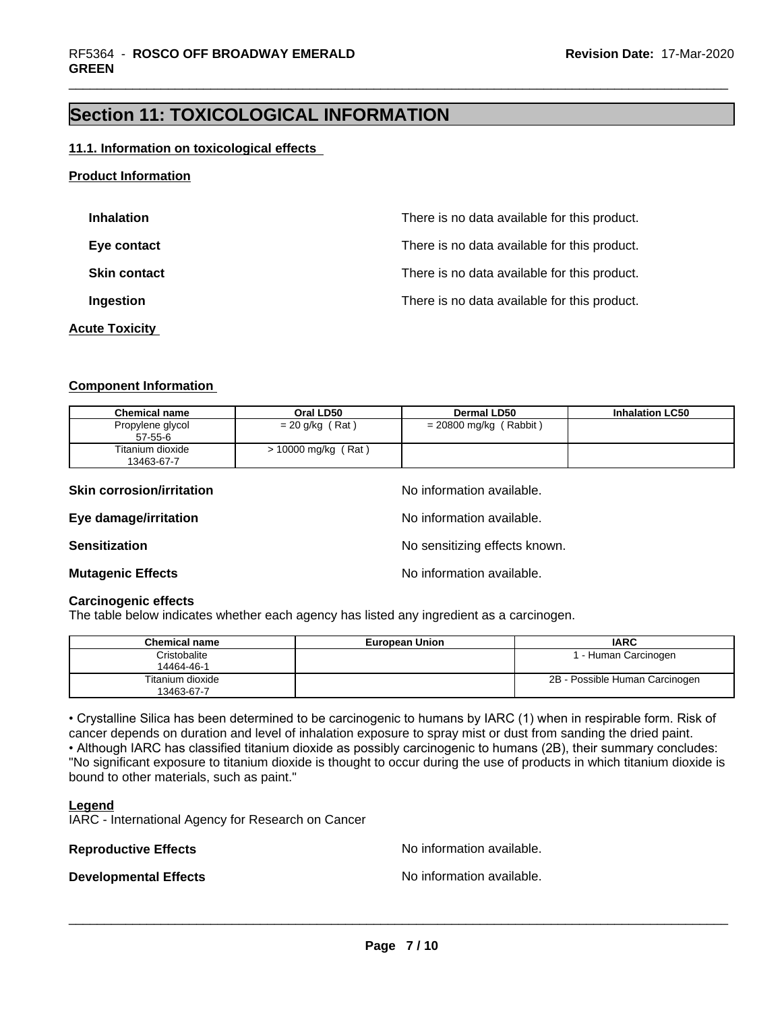## **Section 11: TOXICOLOGICAL INFORMATION**

#### **11.1. Information on toxicological effects**

### **Product Information**

| <b>Inhalation</b>     | There is no data available for this product. |
|-----------------------|----------------------------------------------|
| Eye contact           | There is no data available for this product. |
| <b>Skin contact</b>   | There is no data available for this product. |
| Ingestion             | There is no data available for this product. |
| <b>Acute Toxicity</b> |                                              |

#### **Component Information**

| <b>Chemical name</b>           | Oral LD50         | Dermal LD50              | <b>Inhalation LC50</b> |
|--------------------------------|-------------------|--------------------------|------------------------|
| Propylene glycol<br>57-55-6    | $= 20$ g/kg (Rat) | $= 20800$ mg/kg (Rabbit) |                        |
| Titanium dioxide<br>13463-67-7 | 10000 mg/kg (Rat) |                          |                        |

| <b>Skin corrosion/irritation</b> | No information available.     |
|----------------------------------|-------------------------------|
| Eye damage/irritation            | No information available.     |
| Sensitization                    | No sensitizing effects known. |
| <b>Mutagenic Effects</b>         | No information available.     |

#### **Carcinogenic effects**

The table below indicates whether each agency has listed any ingredient as a carcinogen.

| <b>Chemical name</b>           | <b>European Union</b> | <b>IARC</b>                    |
|--------------------------------|-----------------------|--------------------------------|
| Cristobalite<br>14464-46-1     |                       | - Human Carcinogen             |
| Titanium dioxide<br>13463-67-7 |                       | 2B - Possible Human Carcinogen |

• Crystalline Silica has been determined to be carcinogenic to humans by IARC (1) when in respirable form. Risk of cancer depends on duration and level of inhalation exposure to spray mist or dust from sanding the dried paint.• Although IARC has classified titanium dioxide as possibly carcinogenic to humans (2B), their summary concludes: "No significant exposure to titanium dioxide is thought to occur during the use of products in which titanium dioxide is bound to other materials, such as paint."

#### **Legend**

IARC - International Agency for Research on Cancer

**Reproductive Effects No information available.** 

**Developmental Effects No information available.**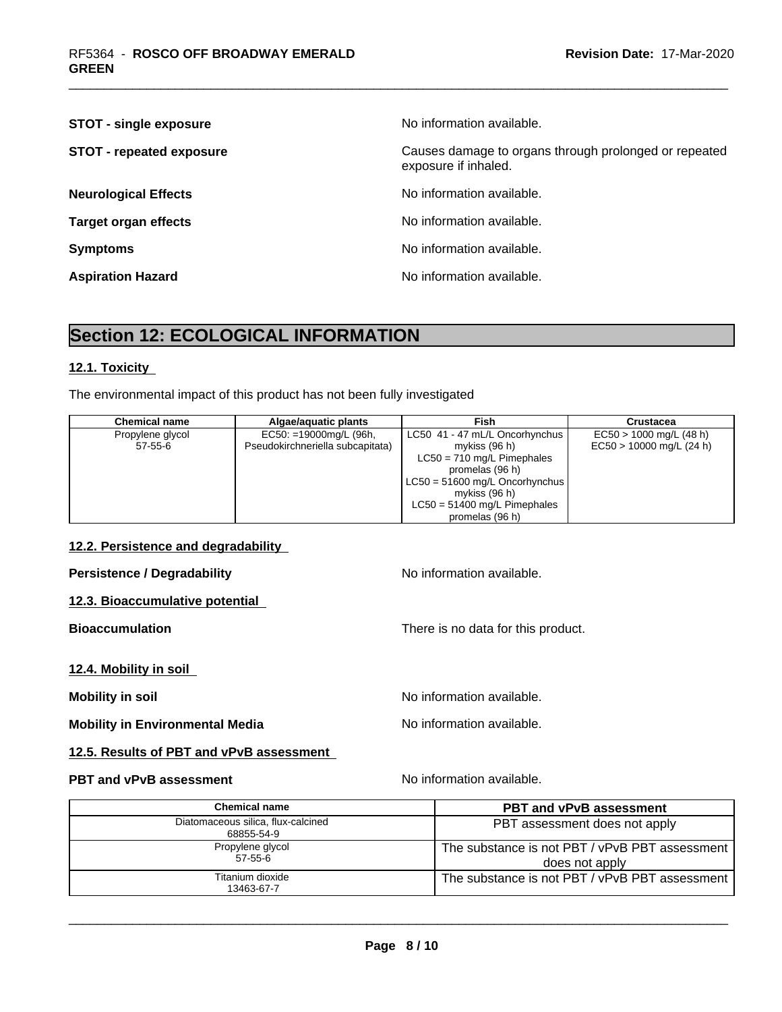| <b>STOT - single exposure</b>   | No information available.                                                     |
|---------------------------------|-------------------------------------------------------------------------------|
| <b>STOT - repeated exposure</b> | Causes damage to organs through prolonged or repeated<br>exposure if inhaled. |
| <b>Neurological Effects</b>     | No information available.                                                     |
| <b>Target organ effects</b>     | No information available.                                                     |
| <b>Symptoms</b>                 | No information available.                                                     |
| <b>Aspiration Hazard</b>        | No information available.                                                     |

## **Section 12: ECOLOGICAL INFORMATION**

### **12.1. Toxicity**

The environmental impact of this product has not been fully investigated

| <b>Chemical name</b> | Algae/aguatic plants             | Fish                                   | Crustacea                  |
|----------------------|----------------------------------|----------------------------------------|----------------------------|
| Propylene glycol     | $EC50: = 19000mg/L$ (96h,        | LC50 41 - 47 mL/L Oncorhynchus         | $EC50 > 1000$ mg/L (48 h)  |
| 57-55-6              | Pseudokirchneriella subcapitata) | mykiss (96 h)                          | $EC50 > 10000$ mg/L (24 h) |
|                      |                                  | $LC50 = 710$ mg/L Pimephales           |                            |
|                      |                                  | promelas (96 h)                        |                            |
|                      |                                  | $\vert$ LC50 = 51600 mg/L Oncorhynchus |                            |
|                      |                                  | mykiss (96 h)                          |                            |
|                      |                                  | $LC50 = 51400$ mg/L Pimephales         |                            |
|                      |                                  | promelas (96 h)                        |                            |

#### **12.2. Persistence and degradability**

**Persistence / Degradability No information available.** 

**12.3. Bioaccumulative potential**

**12.4. Mobility in soil**

**Mobility in Environmental Media** Noinformation available.

**12.5. Results of PBT and vPvB assessment**

### **PBT and vPvB assessment** Noinformation available.

**Bioaccumulation Bioaccumulation There is no data for this product.** 

**Mobility in soil Mobility in soil Mobility in soil** 

| <b>Chemical name</b>                             | <b>PBT and vPvB assessment</b>                                   |
|--------------------------------------------------|------------------------------------------------------------------|
| Diatomaceous silica, flux-calcined<br>68855-54-9 | PBT assessment does not apply                                    |
| Propylene glycol<br>$57 - 55 - 6$                | The substance is not PBT / vPvB PBT assessment<br>does not apply |
| Titanium dioxide<br>13463-67-7                   | The substance is not PBT / vPvB PBT assessment                   |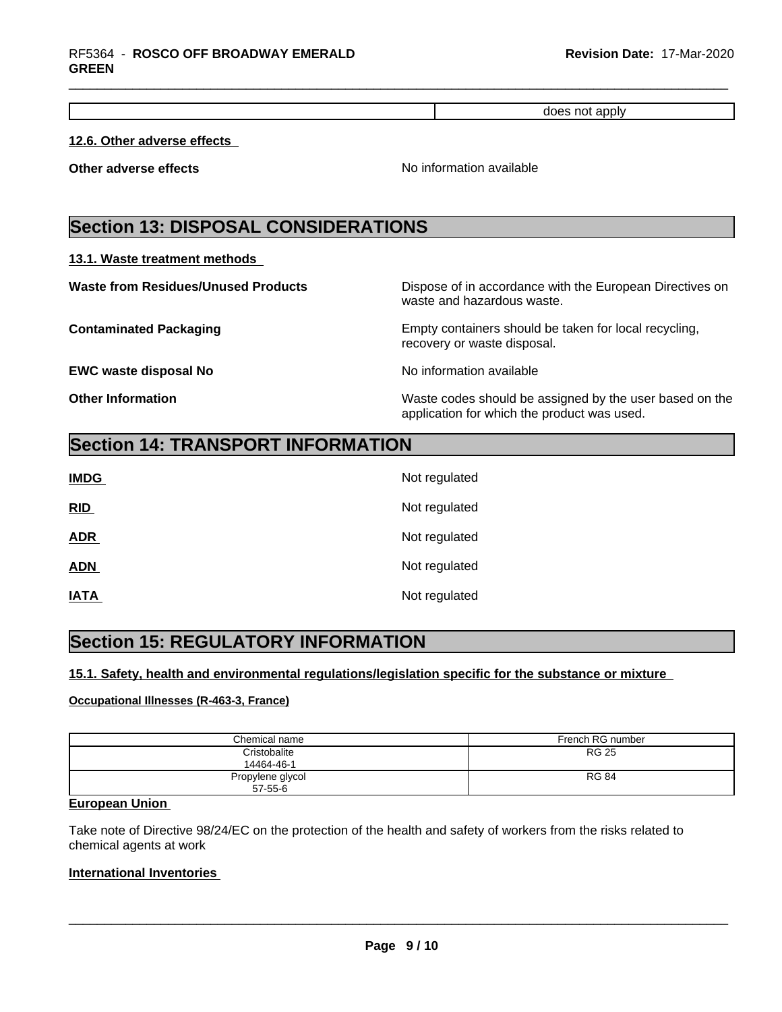| nnlv<br>n |
|-----------|
|           |

### **12.6. Other adverse effects**

**Other adverse effects** No information available

## **Section 13: DISPOSAL CONSIDERATIONS**

#### **13.1. Waste treatment methods**

| <b>Waste from Residues/Unused Products</b> | Dispose of in accordance with the European Directives on<br>waste and hazardous waste.                 |
|--------------------------------------------|--------------------------------------------------------------------------------------------------------|
| <b>Contaminated Packaging</b>              | Empty containers should be taken for local recycling,<br>recovery or waste disposal.                   |
| <b>EWC waste disposal No</b>               | No information available                                                                               |
| <b>Other Information</b>                   | Waste codes should be assigned by the user based on the<br>application for which the product was used. |

## **Section 14: TRANSPORT INFORMATION**

| <b>IMDG</b> | Not regulated |
|-------------|---------------|
| RID         | Not regulated |
| <b>ADR</b>  | Not regulated |
| <b>ADN</b>  | Not regulated |
| <b>IATA</b> | Not regulated |

## **Section 15: REGULATORY INFORMATION**

### **15.1. Safety, health and environmental regulations/legislation specific for the substance or mixture**

#### **Occupational Illnesses (R-463-3, France)**

| Chemical name                     | French RG number |
|-----------------------------------|------------------|
| Cristobalite<br>14464-46-1        | <b>RG 25</b>     |
| Propylene glycol<br>$57 - 55 - 6$ | <b>RG 84</b>     |

### **European Union**

Take note of Directive 98/24/EC on the protection of the health and safety of workers from the risks related to chemical agents at work

#### **International Inventories**